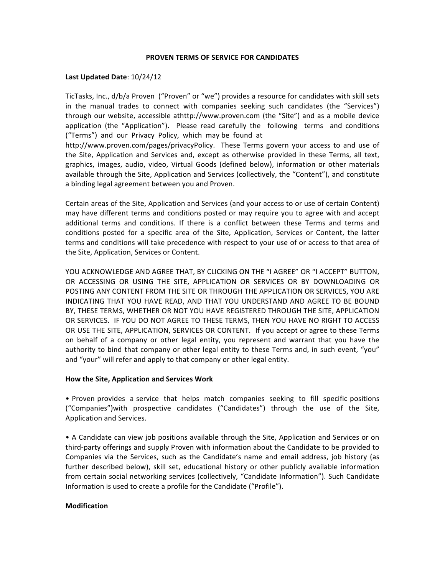## **PROVEN TERMS OF SERVICE FOR CANDIDATES**

## Last Updated Date:  $10/24/12$

TicTasks, Inc., d/b/a Proven ("Proven" or "we") provides a resource for candidates with skill sets in the manual trades to connect with companies seeking such candidates (the "Services") through our website, accessible athttp://www.proven.com (the "Site") and as a mobile device application (the "Application"). Please read carefully the following terms and conditions ("Terms") and our Privacy Policy, which may be found at

http://www.proven.com/pages/privacyPolicy. These Terms govern your access to and use of the Site, Application and Services and, except as otherwise provided in these Terms, all text, graphics, images, audio, video, Virtual Goods (defined below), information or other materials available through the Site, Application and Services (collectively, the "Content"), and constitute a binding legal agreement between you and Proven.

Certain areas of the Site, Application and Services (and your access to or use of certain Content) may have different terms and conditions posted or may require you to agree with and accept additional terms and conditions. If there is a conflict between these Terms and terms and conditions posted for a specific area of the Site, Application, Services or Content, the latter terms and conditions will take precedence with respect to your use of or access to that area of the Site, Application, Services or Content.

YOU ACKNOWLEDGE AND AGREE THAT, BY CLICKING ON THE "I AGREE" OR "I ACCEPT" BUTTON, OR ACCESSING OR USING THE SITE, APPLICATION OR SERVICES OR BY DOWNLOADING OR POSTING ANY CONTENT FROM THE SITE OR THROUGH THE APPLICATION OR SERVICES, YOU ARE INDICATING THAT YOU HAVE READ, AND THAT YOU UNDERSTAND AND AGREE TO BE BOUND BY, THESE TERMS, WHETHER OR NOT YOU HAVE REGISTERED THROUGH THE SITE, APPLICATION OR SERVICES. IF YOU DO NOT AGREE TO THESE TERMS, THEN YOU HAVE NO RIGHT TO ACCESS OR USE THE SITE, APPLICATION, SERVICES OR CONTENT. If you accept or agree to these Terms on behalf of a company or other legal entity, you represent and warrant that you have the authority to bind that company or other legal entity to these Terms and, in such event, "you" and "your" will refer and apply to that company or other legal entity.

### **How the Site, Application and Services Work**

• Proven provides a service that helps match companies seeking to fill specific positions ("Companies")with prospective candidates ("Candidates") through the use of the Site, Application and Services.

• A Candidate can view job positions available through the Site, Application and Services or on third-party offerings and supply Proven with information about the Candidate to be provided to Companies via the Services, such as the Candidate's name and email address, job history (as further described below), skill set, educational history or other publicly available information from certain social networking services (collectively, "Candidate Information"). Such Candidate Information is used to create a profile for the Candidate ("Profile").

### **Modification**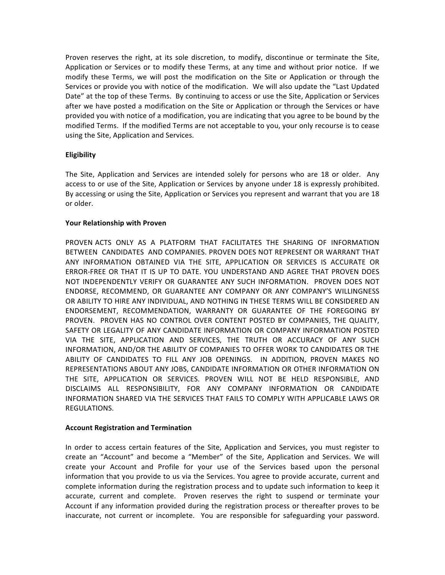Proven reserves the right, at its sole discretion, to modify, discontinue or terminate the Site, Application or Services or to modify these Terms, at any time and without prior notice. If we modify these Terms, we will post the modification on the Site or Application or through the Services or provide you with notice of the modification. We will also update the "Last Updated Date" at the top of these Terms. By continuing to access or use the Site, Application or Services after we have posted a modification on the Site or Application or through the Services or have provided you with notice of a modification, you are indicating that you agree to be bound by the modified Terms. If the modified Terms are not acceptable to you, your only recourse is to cease using the Site, Application and Services.

# **Eligibility**

The Site, Application and Services are intended solely for persons who are 18 or older. Any access to or use of the Site, Application or Services by anyone under 18 is expressly prohibited. By accessing or using the Site, Application or Services you represent and warrant that you are 18 or older. 

# **Your Relationship with Proven**

PROVEN ACTS ONLY AS A PLATFORM THAT FACILITATES THE SHARING OF INFORMATION BETWEEN CANDIDATES AND COMPANIES. PROVEN DOES NOT REPRESENT OR WARRANT THAT ANY INFORMATION OBTAINED VIA THE SITE, APPLICATION OR SERVICES IS ACCURATE OR ERROR-FREE OR THAT IT IS UP TO DATE. YOU UNDERSTAND AND AGREE THAT PROVEN DOES NOT INDEPENDENTLY VERIFY OR GUARANTEE ANY SUCH INFORMATION. PROVEN DOES NOT ENDORSE, RECOMMEND, OR GUARANTEE ANY COMPANY OR ANY COMPANY'S WILLINGNESS OR ABILITY TO HIRE ANY INDIVIDUAL, AND NOTHING IN THESE TERMS WILL BE CONSIDERED AN ENDORSEMENT, RECOMMENDATION, WARRANTY OR GUARANTEE OF THE FOREGOING BY PROVEN. PROVEN HAS NO CONTROL OVER CONTENT POSTED BY COMPANIES, THE QUALITY, SAFETY OR LEGALITY OF ANY CANDIDATE INFORMATION OR COMPANY INFORMATION POSTED VIA THE SITE, APPLICATION AND SERVICES, THE TRUTH OR ACCURACY OF ANY SUCH INFORMATION, AND/OR THE ABILITY OF COMPANIES TO OFFER WORK TO CANDIDATES OR THE ABILITY OF CANDIDATES TO FILL ANY JOB OPENINGS. IN ADDITION, PROVEN MAKES NO REPRESENTATIONS ABOUT ANY JOBS, CANDIDATE INFORMATION OR OTHER INFORMATION ON THE SITE, APPLICATION OR SERVICES. PROVEN WILL NOT BE HELD RESPONSIBLE, AND DISCLAIMS ALL RESPONSIBILITY, FOR ANY COMPANY INFORMATION OR CANDIDATE INFORMATION SHARED VIA THE SERVICES THAT FAILS TO COMPLY WITH APPLICABLE LAWS OR REGULATIONS. 

# **Account Registration and Termination**

In order to access certain features of the Site, Application and Services, you must register to create an "Account" and become a "Member" of the Site, Application and Services. We will create your Account and Profile for your use of the Services based upon the personal information that you provide to us via the Services. You agree to provide accurate, current and complete information during the registration process and to update such information to keep it accurate, current and complete. Proven reserves the right to suspend or terminate your Account if any information provided during the registration process or thereafter proves to be inaccurate, not current or incomplete. You are responsible for safeguarding your password.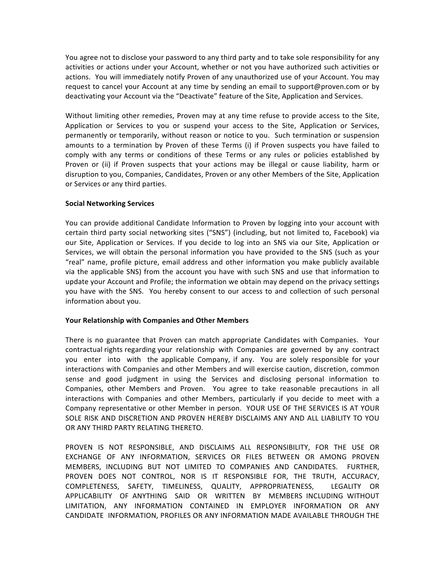You agree not to disclose your password to any third party and to take sole responsibility for any activities or actions under your Account, whether or not you have authorized such activities or actions. You will immediately notify Proven of any unauthorized use of your Account. You may request to cancel your Account at any time by sending an email to support@proven.com or by deactivating your Account via the "Deactivate" feature of the Site, Application and Services.

Without limiting other remedies, Proven may at any time refuse to provide access to the Site, Application or Services to you or suspend your access to the Site, Application or Services, permanently or temporarily, without reason or notice to you. Such termination or suspension amounts to a termination by Proven of these Terms (i) if Proven suspects you have failed to comply with any terms or conditions of these Terms or any rules or policies established by Proven or (ii) if Proven suspects that your actions may be illegal or cause liability, harm or disruption to you, Companies, Candidates, Proven or any other Members of the Site, Application or Services or any third parties.

# **Social Networking Services**

You can provide additional Candidate Information to Proven by logging into your account with certain third party social networking sites ("SNS") (including, but not limited to, Facebook) via our Site, Application or Services. If you decide to log into an SNS via our Site, Application or Services, we will obtain the personal information you have provided to the SNS (such as your "real" name, profile picture, email address and other information you make publicly available via the applicable SNS) from the account you have with such SNS and use that information to update your Account and Profile; the information we obtain may depend on the privacy settings you have with the SNS. You hereby consent to our access to and collection of such personal information about you.

### **Your Relationship with Companies and Other Members**

There is no guarantee that Proven can match appropriate Candidates with Companies. Your contractual rights regarding your relationship with Companies are governed by any contract you enter into with the applicable Company, if any. You are solely responsible for your interactions with Companies and other Members and will exercise caution, discretion, common sense and good judgment in using the Services and disclosing personal information to Companies, other Members and Proven. You agree to take reasonable precautions in all interactions with Companies and other Members, particularly if you decide to meet with a Company representative or other Member in person. YOUR USE OF THE SERVICES IS AT YOUR SOLE RISK AND DISCRETION AND PROVEN HEREBY DISCLAIMS ANY AND ALL LIABILITY TO YOU OR ANY THIRD PARTY RELATING THERETO.

PROVEN IS NOT RESPONSIBLE, AND DISCLAIMS ALL RESPONSIBILITY, FOR THE USE OR EXCHANGE OF ANY INFORMATION, SERVICES OR FILES BETWEEN OR AMONG PROVEN MEMBERS, INCLUDING BUT NOT LIMITED TO COMPANIES AND CANDIDATES. FURTHER, PROVEN DOES NOT CONTROL, NOR IS IT RESPONSIBLE FOR, THE TRUTH, ACCURACY, COMPLETENESS, SAFETY, TIMELINESS, QUALITY, APPROPRIATENESS, LEGALITY OR APPLICABILITY OF ANYTHING SAID OR WRITTEN BY MEMBERS INCLUDING WITHOUT LIMITATION, ANY INFORMATION CONTAINED IN EMPLOYER INFORMATION OR ANY CANDIDATE INFORMATION, PROFILES OR ANY INFORMATION MADE AVAILABLE THROUGH THE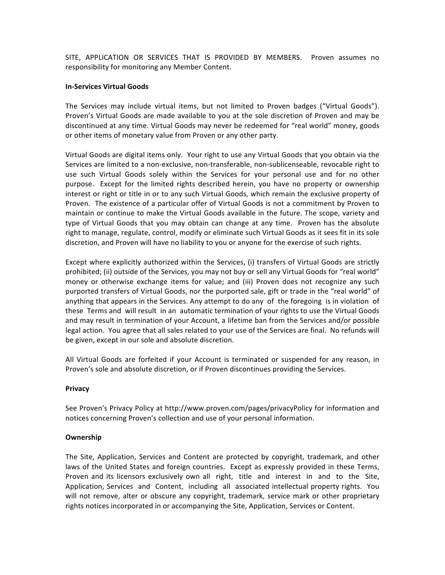SITE, APPLICATION OR SERVICES THAT IS PROVIDED BY MEMBERS. Proven assumes no responsibility for monitoring any Member Content.

### **In-Services Virtual Goods**

The Services may include virtual items, but not limited to Proven badges ("Virtual Goods"). Proven's Virtual Goods are made available to you at the sole discretion of Proven and may be discontinued at any time. Virtual Goods may never be redeemed for "real world" money, goods or other items of monetary value from Proven or any other party.

Virtual Goods are digital items only. Your right to use any Virtual Goods that you obtain via the Services are limited to a non-exclusive, non-transferable, non-sublicenseable, revocable right to use such Virtual Goods solely within the Services for your personal use and for no other purpose. Except for the limited rights described herein, you have no property or ownership interest or right or title in or to any such Virtual Goods, which remain the exclusive property of Proven. The existence of a particular offer of Virtual Goods is not a commitment by Proven to maintain or continue to make the Virtual Goods available in the future. The scope, variety and type of Virtual Goods that you may obtain can change at any time. Proven has the absolute right to manage, regulate, control, modify or eliminate such Virtual Goods as it sees fit in its sole discretion, and Proven will have no liability to you or anyone for the exercise of such rights.

Except where explicitly authorized within the Services, (i) transfers of Virtual Goods are strictly prohibited; (ii) outside of the Services, you may not buy or sell any Virtual Goods for "real world" money or otherwise exchange items for value; and (iii) Proven does not recognize any such purported transfers of Virtual Goods, nor the purported sale, gift or trade in the "real world" of anything that appears in the Services. Any attempt to do any of the foregoing is in violation of these Terms and will result in an automatic termination of your rights to use the Virtual Goods and may result in termination of your Account, a lifetime ban from the Services and/or possible legal action. You agree that all sales related to your use of the Services are final. No refunds will be given, except in our sole and absolute discretion.

All Virtual Goods are forfeited if your Account is terminated or suspended for any reason, in Proven's sole and absolute discretion, or if Proven discontinues providing the Services.

# **Privacy**

See Proven's Privacy Policy at http://www.proven.com/pages/privacyPolicy for information and notices concerning Proven's collection and use of your personal information.

# **Ownership**

The Site, Application, Services and Content are protected by copyright, trademark, and other laws of the United States and foreign countries. Except as expressly provided in these Terms, Proven and its licensors exclusively own all right, title and interest in and to the Site, Application, Services and Content, including all associated intellectual property rights. You will not remove, alter or obscure any copyright, trademark, service mark or other proprietary rights notices incorporated in or accompanying the Site, Application, Services or Content.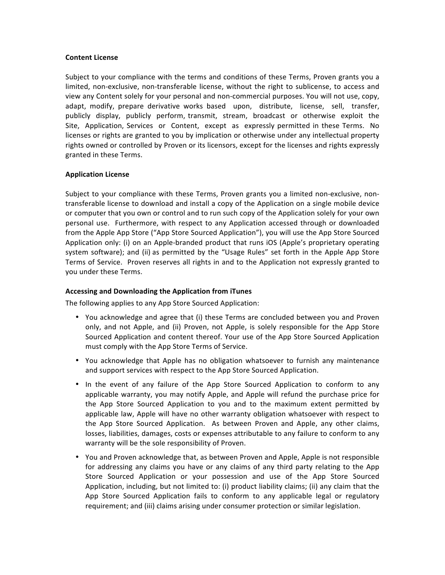#### **Content License**

Subject to your compliance with the terms and conditions of these Terms, Proven grants you a limited, non-exclusive, non-transferable license, without the right to sublicense, to access and view any Content solely for your personal and non-commercial purposes. You will not use, copy, adapt, modify, prepare derivative works based upon, distribute, license, sell, transfer, publicly display, publicly perform, transmit, stream, broadcast or otherwise exploit the Site, Application, Services or Content, except as expressly permitted in these Terms. No licenses or rights are granted to you by implication or otherwise under any intellectual property rights owned or controlled by Proven or its licensors, except for the licenses and rights expressly granted in these Terms.

### **Application License**

Subject to your compliance with these Terms, Proven grants you a limited non-exclusive, nontransferable license to download and install a copy of the Application on a single mobile device or computer that you own or control and to run such copy of the Application solely for your own personal use. Furthermore, with respect to any Application accessed through or downloaded from the Apple App Store ("App Store Sourced Application"), you will use the App Store Sourced Application only: (i) on an Apple-branded product that runs iOS (Apple's proprietary operating system software); and (ii) as permitted by the "Usage Rules" set forth in the Apple App Store Terms of Service. Proven reserves all rights in and to the Application not expressly granted to you under these Terms.

## **Accessing and Downloading the Application from iTunes**

The following applies to any App Store Sourced Application:

- You acknowledge and agree that (i) these Terms are concluded between you and Proven only, and not Apple, and (ii) Proven, not Apple, is solely responsible for the App Store Sourced Application and content thereof. Your use of the App Store Sourced Application must comply with the App Store Terms of Service.
- You acknowledge that Apple has no obligation whatsoever to furnish any maintenance and support services with respect to the App Store Sourced Application.
- In the event of any failure of the App Store Sourced Application to conform to any applicable warranty, you may notify Apple, and Apple will refund the purchase price for the App Store Sourced Application to you and to the maximum extent permitted by applicable law, Apple will have no other warranty obligation whatsoever with respect to the App Store Sourced Application. As between Proven and Apple, any other claims, losses, liabilities, damages, costs or expenses attributable to any failure to conform to any warranty will be the sole responsibility of Proven.
- You and Proven acknowledge that, as between Proven and Apple, Apple is not responsible for addressing any claims you have or any claims of any third party relating to the App Store Sourced Application or your possession and use of the App Store Sourced Application, including, but not limited to: (i) product liability claims; (ii) any claim that the App Store Sourced Application fails to conform to any applicable legal or regulatory requirement; and (iii) claims arising under consumer protection or similar legislation.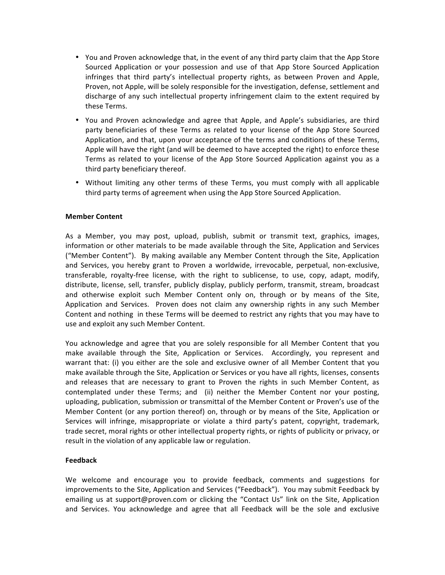- You and Proven acknowledge that, in the event of any third party claim that the App Store Sourced Application or your possession and use of that App Store Sourced Application infringes that third party's intellectual property rights, as between Proven and Apple, Proven, not Apple, will be solely responsible for the investigation, defense, settlement and discharge of any such intellectual property infringement claim to the extent required by these Terms.
- You and Proven acknowledge and agree that Apple, and Apple's subsidiaries, are third party beneficiaries of these Terms as related to your license of the App Store Sourced Application, and that, upon your acceptance of the terms and conditions of these Terms, Apple will have the right (and will be deemed to have accepted the right) to enforce these Terms as related to your license of the App Store Sourced Application against you as a third party beneficiary thereof.
- Without limiting any other terms of these Terms, you must comply with all applicable third party terms of agreement when using the App Store Sourced Application.

# **Member Content**

As a Member, you may post, upload, publish, submit or transmit text, graphics, images, information or other materials to be made available through the Site, Application and Services ("Member Content"). By making available any Member Content through the Site, Application and Services, you hereby grant to Proven a worldwide, irrevocable, perpetual, non-exclusive, transferable, royalty-free license, with the right to sublicense, to use, copy, adapt, modify, distribute, license, sell, transfer, publicly display, publicly perform, transmit, stream, broadcast and otherwise exploit such Member Content only on, through or by means of the Site, Application and Services. Proven does not claim any ownership rights in any such Member Content and nothing in these Terms will be deemed to restrict any rights that you may have to use and exploit any such Member Content.

You acknowledge and agree that you are solely responsible for all Member Content that you make available through the Site, Application or Services. Accordingly, you represent and warrant that: (i) you either are the sole and exclusive owner of all Member Content that you make available through the Site, Application or Services or you have all rights, licenses, consents and releases that are necessary to grant to Proven the rights in such Member Content, as contemplated under these Terms; and (ii) neither the Member Content nor your posting, uploading, publication, submission or transmittal of the Member Content or Proven's use of the Member Content (or any portion thereof) on, through or by means of the Site, Application or Services will infringe, misappropriate or violate a third party's patent, copyright, trademark, trade secret, moral rights or other intellectual property rights, or rights of publicity or privacy, or result in the violation of any applicable law or regulation.

### **Feedback**

We welcome and encourage you to provide feedback, comments and suggestions for improvements to the Site, Application and Services ("Feedback"). You may submit Feedback by emailing us at support@proven.com or clicking the "Contact Us" link on the Site, Application and Services. You acknowledge and agree that all Feedback will be the sole and exclusive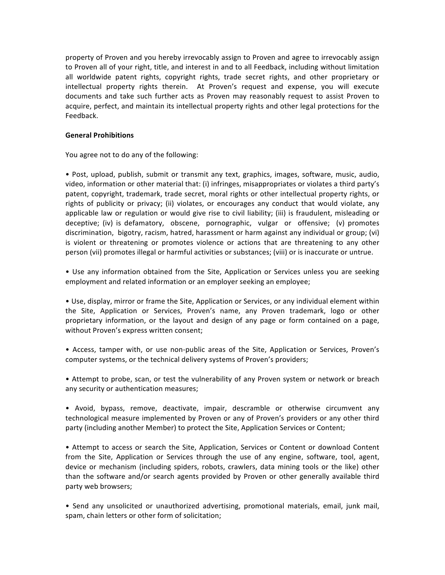property of Proven and you hereby irrevocably assign to Proven and agree to irrevocably assign to Proven all of your right, title, and interest in and to all Feedback, including without limitation all worldwide patent rights, copyright rights, trade secret rights, and other proprietary or intellectual property rights therein. At Proven's request and expense, you will execute documents and take such further acts as Proven may reasonably request to assist Proven to acquire, perfect, and maintain its intellectual property rights and other legal protections for the Feedback.

## **General Prohibitions**

You agree not to do any of the following:

• Post, upload, publish, submit or transmit any text, graphics, images, software, music, audio, video, information or other material that: (i) infringes, misappropriates or violates a third party's patent, copyright, trademark, trade secret, moral rights or other intellectual property rights, or rights of publicity or privacy; (ii) violates, or encourages any conduct that would violate, any applicable law or regulation or would give rise to civil liability; (iii) is fraudulent, misleading or deceptive; (iv) is defamatory, obscene, pornographic, vulgar or offensive; (v) promotes discrimination,  $bigot(y, racism, hatred, harassment or harm against any individual or group; (vi)$ is violent or threatening or promotes violence or actions that are threatening to any other person (vii) promotes illegal or harmful activities or substances; (viii) or is inaccurate or untrue.

• Use any information obtained from the Site, Application or Services unless you are seeking employment and related information or an employer seeking an employee;

• Use, display, mirror or frame the Site, Application or Services, or any individual element within the Site, Application or Services, Proven's name, any Proven trademark, logo or other proprietary information, or the layout and design of any page or form contained on a page, without Proven's express written consent;

• Access, tamper with, or use non-public areas of the Site, Application or Services, Proven's computer systems, or the technical delivery systems of Proven's providers;

• Attempt to probe, scan, or test the vulnerability of any Proven system or network or breach any security or authentication measures;

• Avoid, bypass, remove, deactivate, impair, descramble or otherwise circumvent any technological measure implemented by Proven or any of Proven's providers or any other third party (including another Member) to protect the Site, Application Services or Content;

• Attempt to access or search the Site, Application, Services or Content or download Content from the Site, Application or Services through the use of any engine, software, tool, agent, device or mechanism (including spiders, robots, crawlers, data mining tools or the like) other than the software and/or search agents provided by Proven or other generally available third party web browsers;

• Send any unsolicited or unauthorized advertising, promotional materials, email, junk mail, spam, chain letters or other form of solicitation;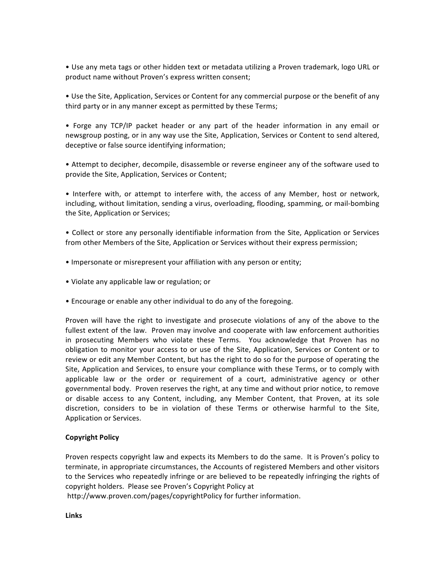• Use any meta tags or other hidden text or metadata utilizing a Proven trademark, logo URL or product name without Proven's express written consent;

• Use the Site, Application, Services or Content for any commercial purpose or the benefit of any third party or in any manner except as permitted by these Terms;

• Forge any TCP/IP packet header or any part of the header information in any email or newsgroup posting, or in any way use the Site, Application, Services or Content to send altered, deceptive or false source identifying information;

• Attempt to decipher, decompile, disassemble or reverse engineer any of the software used to provide the Site, Application, Services or Content;

• Interfere with, or attempt to interfere with, the access of any Member, host or network, including, without limitation, sending a virus, overloading, flooding, spamming, or mail-bombing the Site, Application or Services;

• Collect or store any personally identifiable information from the Site, Application or Services from other Members of the Site, Application or Services without their express permission;

- Impersonate or misrepresent your affiliation with any person or entity;
- Violate any applicable law or regulation; or
- Encourage or enable any other individual to do any of the foregoing.

Proven will have the right to investigate and prosecute violations of any of the above to the fullest extent of the law. Proven may involve and cooperate with law enforcement authorities in prosecuting Members who violate these Terms. You acknowledge that Proven has no obligation to monitor your access to or use of the Site, Application, Services or Content or to review or edit any Member Content, but has the right to do so for the purpose of operating the Site, Application and Services, to ensure your compliance with these Terms, or to comply with applicable law or the order or requirement of a court, administrative agency or other governmental body. Proven reserves the right, at any time and without prior notice, to remove or disable access to any Content, including, any Member Content, that Proven, at its sole discretion, considers to be in violation of these Terms or otherwise harmful to the Site, Application or Services.

# **Copyright Policy**

Proven respects copyright law and expects its Members to do the same. It is Proven's policy to terminate, in appropriate circumstances, the Accounts of registered Members and other visitors to the Services who repeatedly infringe or are believed to be repeatedly infringing the rights of copyright holders. Please see Proven's Copyright Policy at

http://www.proven.com/pages/copyrightPolicy for further information.

**Links**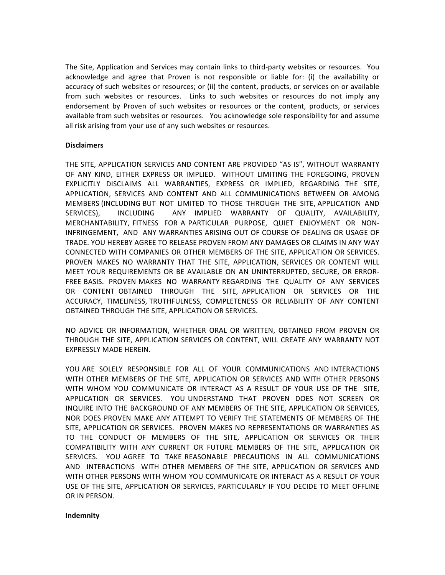The Site, Application and Services may contain links to third-party websites or resources. You acknowledge and agree that Proven is not responsible or liable for: (i) the availability or accuracy of such websites or resources; or (ii) the content, products, or services on or available from such websites or resources. Links to such websites or resources do not imply any endorsement by Proven of such websites or resources or the content, products, or services available from such websites or resources. You acknowledge sole responsibility for and assume all risk arising from your use of any such websites or resources.

# **Disclaimers**

THE SITE, APPLICATION SERVICES AND CONTENT ARE PROVIDED "AS IS", WITHOUT WARRANTY OF ANY KIND, EITHER EXPRESS OR IMPLIED. WITHOUT LIMITING THE FOREGOING, PROVEN EXPLICITLY DISCLAIMS ALL WARRANTIES, EXPRESS OR IMPLIED, REGARDING THE SITE, APPLICATION, SERVICES AND CONTENT AND ALL COMMUNICATIONS BETWEEN OR AMONG MEMBERS (INCLUDING BUT NOT LIMITED TO THOSE THROUGH THE SITE, APPLICATION AND SERVICES), INCLUDING ANY IMPLIED WARRANTY OF QUALITY, AVAILABILITY, MERCHANTABILITY, FITNESS FOR A PARTICULAR PURPOSE, QUIET ENJOYMENT OR NON-INFRINGEMENT, AND ANY WARRANTIES ARISING OUT OF COURSE OF DEALING OR USAGE OF TRADE. YOU HEREBY AGREE TO RELEASE PROVEN FROM ANY DAMAGES OR CLAIMS IN ANY WAY CONNECTED WITH COMPANIES OR OTHER MEMBERS OF THE SITE, APPLICATION OR SERVICES. PROVEN MAKES NO WARRANTY THAT THE SITE, APPLICATION, SERVICES OR CONTENT WILL MEET YOUR REQUIREMENTS OR BE AVAILABLE ON AN UNINTERRUPTED, SECURE, OR ERROR-FREE BASIS. PROVEN MAKES NO WARRANTY REGARDING THE QUALITY OF ANY SERVICES OR CONTENT OBTAINED THROUGH THE SITE, APPLICATION OR SERVICES OR THE ACCURACY, TIMELINESS, TRUTHFULNESS, COMPLETENESS OR RELIABILITY OF ANY CONTENT OBTAINED THROUGH THE SITE, APPLICATION OR SERVICES.

NO ADVICE OR INFORMATION, WHETHER ORAL OR WRITTEN, OBTAINED FROM PROVEN OR THROUGH THE SITE, APPLICATION SERVICES OR CONTENT, WILL CREATE ANY WARRANTY NOT EXPRESSLY MADE HEREIN.

YOU ARE SOLELY RESPONSIBLE FOR ALL OF YOUR COMMUNICATIONS AND INTERACTIONS WITH OTHER MEMBERS OF THE SITE, APPLICATION OR SERVICES AND WITH OTHER PERSONS WITH WHOM YOU COMMUNICATE OR INTERACT AS A RESULT OF YOUR USE OF THE SITE, APPLICATION OR SERVICES. YOU UNDERSTAND THAT PROVEN DOES NOT SCREEN OR INQUIRE INTO THE BACKGROUND OF ANY MEMBERS OF THE SITE, APPLICATION OR SERVICES, NOR DOES PROVEN MAKE ANY ATTEMPT TO VERIFY THE STATEMENTS OF MEMBERS OF THE SITE, APPLICATION OR SERVICES. PROVEN MAKES NO REPRESENTATIONS OR WARRANTIES AS TO THE CONDUCT OF MEMBERS OF THE SITE, APPLICATION OR SERVICES OR THEIR COMPATIBILITY WITH ANY CURRENT OR FUTURE MEMBERS OF THE SITE, APPLICATION OR SERVICES. YOU AGREE TO TAKE REASONABLE PRECAUTIONS IN ALL COMMUNICATIONS AND INTERACTIONS WITH OTHER MEMBERS OF THE SITE, APPLICATION OR SERVICES AND WITH OTHER PERSONS WITH WHOM YOU COMMUNICATE OR INTERACT AS A RESULT OF YOUR USE OF THE SITE, APPLICATION OR SERVICES, PARTICULARLY IF YOU DECIDE TO MEET OFFLINE OR IN PERSON.

### **Indemnity**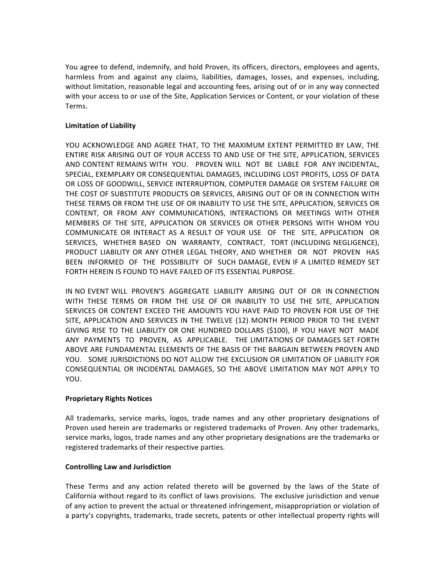You agree to defend, indemnify, and hold Proven, its officers, directors, employees and agents, harmless from and against any claims, liabilities, damages, losses, and expenses, including, without limitation, reasonable legal and accounting fees, arising out of or in any way connected with your access to or use of the Site, Application Services or Content, or your violation of these Terms.

# **Limitation of Liability**

YOU ACKNOWLEDGE AND AGREE THAT, TO THE MAXIMUM EXTENT PERMITTED BY LAW, THE ENTIRE RISK ARISING OUT OF YOUR ACCESS TO AND USE OF THE SITE, APPLICATION, SERVICES AND CONTENT REMAINS WITH YOU. PROVEN WILL NOT BE LIABLE FOR ANY INCIDENTAL, SPECIAL, EXEMPLARY OR CONSEQUENTIAL DAMAGES, INCLUDING LOST PROFITS, LOSS OF DATA OR LOSS OF GOODWILL, SERVICE INTERRUPTION, COMPUTER DAMAGE OR SYSTEM FAILURE OR THE COST OF SUBSTITUTE PRODUCTS OR SERVICES, ARISING OUT OF OR IN CONNECTION WITH THESE TERMS OR FROM THE USE OF OR INABILITY TO USE THE SITE, APPLICATION, SERVICES OR CONTENT, OR FROM ANY COMMUNICATIONS, INTERACTIONS OR MEETINGS WITH OTHER MEMBERS OF THE SITE, APPLICATION OR SERVICES OR OTHER PERSONS WITH WHOM YOU COMMUNICATE OR INTERACT AS A RESULT OF YOUR USE OF THE SITE, APPLICATION OR SERVICES, WHETHER BASED ON WARRANTY, CONTRACT, TORT (INCLUDING NEGLIGENCE), PRODUCT LIABILITY OR ANY OTHER LEGAL THEORY, AND WHETHER OR NOT PROVEN HAS BEEN INFORMED OF THE POSSIBILITY OF SUCH DAMAGE, EVEN IF A LIMITED REMEDY SET FORTH HEREIN IS FOUND TO HAVE FAILED OF ITS ESSENTIAL PURPOSE.

IN NO EVENT WILL PROVEN'S AGGREGATE LIABILITY ARISING OUT OF OR IN CONNECTION WITH THESE TERMS OR FROM THE USE OF OR INABILITY TO USE THE SITE, APPLICATION SERVICES OR CONTENT EXCEED THE AMOUNTS YOU HAVE PAID TO PROVEN FOR USE OF THE SITE, APPLICATION AND SERVICES IN THE TWELVE (12) MONTH PERIOD PRIOR TO THE EVENT GIVING RISE TO THE LIABILITY OR ONE HUNDRED DOLLARS (\$100), IF YOU HAVE NOT MADE ANY PAYMENTS TO PROVEN, AS APPLICABLE. THE LIMITATIONS OF DAMAGES SET FORTH ABOVE ARE FUNDAMENTAL ELEMENTS OF THE BASIS OF THE BARGAIN BETWEEN PROVEN AND YOU. SOME JURISDICTIONS DO NOT ALLOW THE EXCLUSION OR LIMITATION OF LIABILITY FOR CONSEQUENTIAL OR INCIDENTAL DAMAGES, SO THE ABOVE LIMITATION MAY NOT APPLY TO YOU. 

# **Proprietary Rights Notices**

All trademarks, service marks, logos, trade names and any other proprietary designations of Proven used herein are trademarks or registered trademarks of Proven. Any other trademarks, service marks, logos, trade names and any other proprietary designations are the trademarks or registered trademarks of their respective parties.

# **Controlling Law and Jurisdiction**

These Terms and any action related thereto will be governed by the laws of the State of California without regard to its conflict of laws provisions. The exclusive jurisdiction and venue of any action to prevent the actual or threatened infringement, misappropriation or violation of a party's copyrights, trademarks, trade secrets, patents or other intellectual property rights will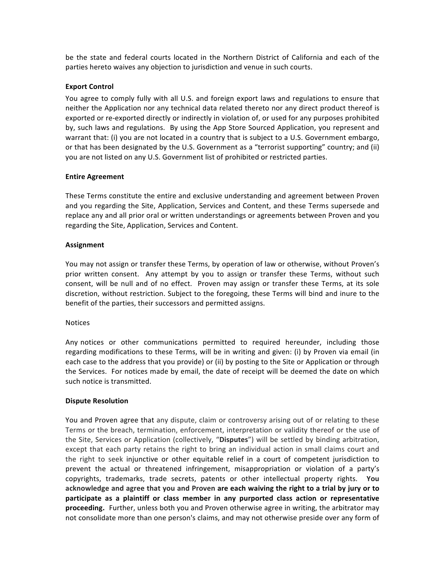be the state and federal courts located in the Northern District of California and each of the parties hereto waives any objection to jurisdiction and venue in such courts.

# **Export Control**

You agree to comply fully with all U.S. and foreign export laws and regulations to ensure that neither the Application nor any technical data related thereto nor any direct product thereof is exported or re-exported directly or indirectly in violation of, or used for any purposes prohibited by, such laws and regulations. By using the App Store Sourced Application, you represent and warrant that: (i) you are not located in a country that is subject to a U.S. Government embargo, or that has been designated by the U.S. Government as a "terrorist supporting" country; and (ii) you are not listed on any U.S. Government list of prohibited or restricted parties.

# **Entire Agreement**

These Terms constitute the entire and exclusive understanding and agreement between Proven and you regarding the Site, Application, Services and Content, and these Terms supersede and replace any and all prior oral or written understandings or agreements between Proven and you regarding the Site, Application, Services and Content.

# **Assignment**

You may not assign or transfer these Terms, by operation of law or otherwise, without Proven's prior written consent. Any attempt by you to assign or transfer these Terms, without such consent, will be null and of no effect. Proven may assign or transfer these Terms, at its sole discretion, without restriction. Subject to the foregoing, these Terms will bind and inure to the benefit of the parties, their successors and permitted assigns.

### Notices

Any notices or other communications permitted to required hereunder, including those regarding modifications to these Terms, will be in writing and given: (i) by Proven via email (in each case to the address that you provide) or (ii) by posting to the Site or Application or through the Services. For notices made by email, the date of receipt will be deemed the date on which such notice is transmitted.

### **Dispute Resolution**

You and Proven agree that any dispute, claim or controversy arising out of or relating to these Terms or the breach, termination, enforcement, interpretation or validity thereof or the use of the Site, Services or Application (collectively, "Disputes") will be settled by binding arbitration, except that each party retains the right to bring an individual action in small claims court and the right to seek injunctive or other equitable relief in a court of competent jurisdiction to prevent the actual or threatened infringement, misappropriation or violation of a party's copyrights, trademarks, trade secrets, patents or other intellectual property rights. You acknowledge and agree that you and Proven are each waiving the right to a trial by jury or to participate as a plaintiff or class member in any purported class action or representative **proceeding.** Further, unless both you and Proven otherwise agree in writing, the arbitrator may not consolidate more than one person's claims, and may not otherwise preside over any form of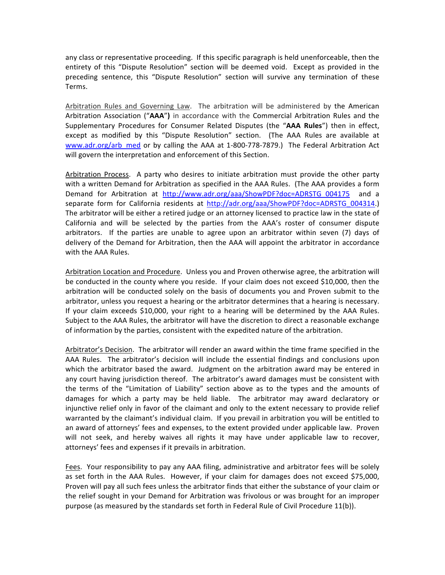any class or representative proceeding. If this specific paragraph is held unenforceable, then the entirety of this "Dispute Resolution" section will be deemed void. Except as provided in the preceding sentence, this "Dispute Resolution" section will survive any termination of these Terms.

Arbitration Rules and Governing Law. The arbitration will be administered by the American Arbitration Association ("AAA") in accordance with the Commercial Arbitration Rules and the Supplementary Procedures for Consumer Related Disputes (the "AAA Rules") then in effect, except as modified by this "Dispute Resolution" section. (The AAA Rules are available at www.adr.org/arb\_med or by calling the AAA at 1-800-778-7879.) The Federal Arbitration Act will govern the interpretation and enforcement of this Section.

Arbitration Process. A party who desires to initiate arbitration must provide the other party with a written Demand for Arbitration as specified in the AAA Rules. (The AAA provides a form Demand for Arbitration at http://www.adr.org/aaa/ShowPDF?doc=ADRSTG\_004175 and a separate form for California residents at http://adr.org/aaa/ShowPDF?doc=ADRSTG\_004314.) The arbitrator will be either a retired judge or an attorney licensed to practice law in the state of California and will be selected by the parties from the AAA's roster of consumer dispute arbitrators. If the parties are unable to agree upon an arbitrator within seven (7) days of delivery of the Demand for Arbitration, then the AAA will appoint the arbitrator in accordance with the AAA Rules.

Arbitration Location and Procedure. Unless you and Proven otherwise agree, the arbitration will be conducted in the county where you reside. If your claim does not exceed \$10,000, then the arbitration will be conducted solely on the basis of documents you and Proven submit to the arbitrator, unless you request a hearing or the arbitrator determines that a hearing is necessary. If your claim exceeds \$10,000, your right to a hearing will be determined by the AAA Rules. Subject to the AAA Rules, the arbitrator will have the discretion to direct a reasonable exchange of information by the parties, consistent with the expedited nature of the arbitration.

Arbitrator's Decision. The arbitrator will render an award within the time frame specified in the AAA Rules. The arbitrator's decision will include the essential findings and conclusions upon which the arbitrator based the award. Judgment on the arbitration award may be entered in any court having jurisdiction thereof. The arbitrator's award damages must be consistent with the terms of the "Limitation of Liability" section above as to the types and the amounts of damages for which a party may be held liable. The arbitrator may award declaratory or injunctive relief only in favor of the claimant and only to the extent necessary to provide relief warranted by the claimant's individual claim. If you prevail in arbitration you will be entitled to an award of attorneys' fees and expenses, to the extent provided under applicable law. Proven will not seek, and hereby waives all rights it may have under applicable law to recover, attorneys' fees and expenses if it prevails in arbitration.

Fees. Your responsibility to pay any AAA filing, administrative and arbitrator fees will be solely as set forth in the AAA Rules. However, if your claim for damages does not exceed \$75,000, Proven will pay all such fees unless the arbitrator finds that either the substance of your claim or the relief sought in your Demand for Arbitration was frivolous or was brought for an improper purpose (as measured by the standards set forth in Federal Rule of Civil Procedure  $11(b)$ ).